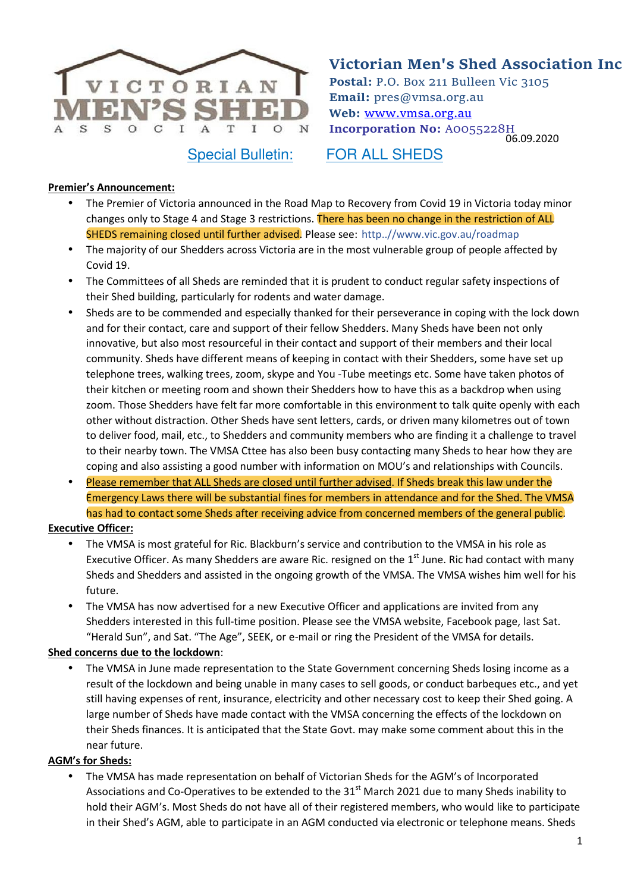

06.09.2020 **Victorian Men's Shed Association Inc Postal:** P.O. Box 211 Bulleen Vic 3105 **Email:** pres@vmsa.org.au **Web:** www.vmsa.org.au **Incorporation No:** A0055228H

Special Bulletin: FOR ALL SHEDS

### **Premier's Announcement:**

- The Premier of Victoria announced in the Road Map to Recovery from Covid 19 in Victoria today minor changes only to Stage 4 and Stage 3 restrictions. There has been no change in the restriction of ALL SHEDS remaining closed until further advised. Please see: http..//www.vic.gov.au/roadmap
- The majority of our Shedders across Victoria are in the most vulnerable group of people affected by Covid 19.
- The Committees of all Sheds are reminded that it is prudent to conduct regular safety inspections of their Shed building, particularly for rodents and water damage.
- Sheds are to be commended and especially thanked for their perseverance in coping with the lock down and for their contact, care and support of their fellow Shedders. Many Sheds have been not only innovative, but also most resourceful in their contact and support of their members and their local community. Sheds have different means of keeping in contact with their Shedders, some have set up telephone trees, walking trees, zoom, skype and You -Tube meetings etc. Some have taken photos of their kitchen or meeting room and shown their Shedders how to have this as a backdrop when using zoom. Those Shedders have felt far more comfortable in this environment to talk quite openly with each other without distraction. Other Sheds have sent letters, cards, or driven many kilometres out of town to deliver food, mail, etc., to Shedders and community members who are finding it a challenge to travel to their nearby town. The VMSA Cttee has also been busy contacting many Sheds to hear how they are coping and also assisting a good number with information on MOU's and relationships with Councils.
- Please remember that ALL Sheds are closed until further advised. If Sheds break this law under the Emergency Laws there will be substantial fines for members in attendance and for the Shed. The VMSA has had to contact some Sheds after receiving advice from concerned members of the general public.

### **Executive Officer:**

- The VMSA is most grateful for Ric. Blackburn's service and contribution to the VMSA in his role as Executive Officer. As many Shedders are aware Ric. resigned on the  $1<sup>st</sup>$  June. Ric had contact with many Sheds and Shedders and assisted in the ongoing growth of the VMSA. The VMSA wishes him well for his future.
- The VMSA has now advertised for a new Executive Officer and applications are invited from any Shedders interested in this full-time position. Please see the VMSA website, Facebook page, last Sat. "Herald Sun", and Sat. "The Age", SEEK, or e-mail or ring the President of the VMSA for details.

### **Shed concerns due to the lockdown**:

• The VMSA in June made representation to the State Government concerning Sheds losing income as a result of the lockdown and being unable in many cases to sell goods, or conduct barbeques etc., and yet still having expenses of rent, insurance, electricity and other necessary cost to keep their Shed going. A large number of Sheds have made contact with the VMSA concerning the effects of the lockdown on their Sheds finances. It is anticipated that the State Govt. may make some comment about this in the near future.

### **AGM's for Sheds:**

• The VMSA has made representation on behalf of Victorian Sheds for the AGM's of Incorporated Associations and Co-Operatives to be extended to the 31<sup>st</sup> March 2021 due to many Sheds inability to hold their AGM's. Most Sheds do not have all of their registered members, who would like to participate in their Shed's AGM, able to participate in an AGM conducted via electronic or telephone means. Sheds